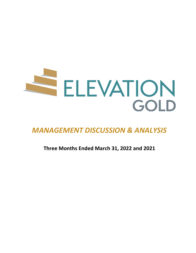

# *MANAGEMENT DISCUSSION & ANALYSIS*

# **Three Months Ended March 31, 2022 and 2021**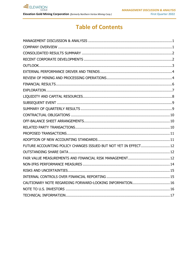# **Table of Contents**

| FUTURE ACCOUNTING POLICY CHANGES ISSUED BUT NOT YET IN EFFECT 12 |
|------------------------------------------------------------------|
|                                                                  |
|                                                                  |
|                                                                  |
|                                                                  |
|                                                                  |
| CAUTIONARY NOTE REGARDING FORWARD-LOOKING INFORMATION 16         |
|                                                                  |
|                                                                  |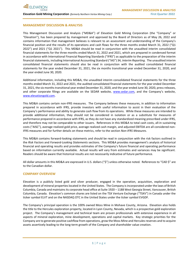# <span id="page-2-0"></span>**MANAGEMENT DISCUSSION & ANALYSIS**

This Management Discussion and Analysis ("MD&A") of Elevation Gold Mining Corporation (the "Company" or "Elevation"), has been prepared by management and approved by the Board of Directors as of May 26, 2022 and contains information that management believes is relevant to an assessment and understanding of the Company's financial position and the results of its operations and cash flows for the three months ended March 31, 2022 ("Q1 2022") and 2021 ("Q1 2021"). This MD&A should be read in conjunction with the unaudited interim consolidated financial statements for the three months ended March 31, 2022 and 2021, which are prepared in condensed format in accordance with International Financial Reporting Standards ("IFRS") as applicable to the preparation of the interim financial statements, including International Accounting Standard ("IAS") 34, *Interim Reporting*. The unaudited interim consolidated financial statements should also be read in conjunction with the audited consolidated financial statements for the year ended December 31, 2021, the six months transitional year ended December 31, 2020, and the year ended June 30, 2020.

Additional information, including this MD&A, the unaudited interim consolidated financial statements for the three months ended March 31, 2022 and 2021, the audited consolidated financial statements for the year ended December 31, 2021, the six months transitional year ended December 31, 2020, and the year ended June 30, 2020, press releases, and other corporate filings are available on the SEDAR website, [www.sedar.com](http://www.sedar.com/), and the Company's website, [www.elevationgold.com.](http://www.elevationgold.com/)

This MD&A contains certain non-IFRS measures. The Company believes these measures, in addition to information prepared in accordance with IFRS, provide investors with useful information to assist in their evaluation of the Company's performance and ability to generate cash flow from its operations. While these measures are intended to provide additional information, they should not be considered in isolation or as a substitute for measures of performance prepared in accordance with IFRS, as they do not have any standardized meaning prescribed under IFRS, and therefore may not be comparable to other issuers. References in this MD&A to total cash costs, all-in sustaining costs ("AISC"), average realized gold price, average realized cash margin, and adjusted EBITDA are all considered non-IFRS measures and for further details on these metrics, refer to the section *Non-IFRS Measures*.

This MD&A contains forward-looking statements and should be read in conjunction with the risk factors outlined in the *Risk Factors* and *Forward-Looking Statements* sections. This MD&A provides management's analysis of historical financial and operating results and provides estimates of the Company's future financial and operating performance based on information currently available. Actual results will vary from estimates and variances may be significant. Readers should be aware that historical results are not necessarily indicative of future performance.

All dollar amounts in this MD&A are expressed in U.S. dollars ("\$") unless otherwise noted. References to "CAD \$" are to the Canadian dollar.

# <span id="page-2-1"></span>**COMPANY OVERVIEW**

Elevation is a publicly listed gold and silver producer, engaged in the operation, acquisition, exploration and development of mineral properties located in the United States. The Company is incorporated under the laws of British Columbia, Canada and maintains its corporate head office at Suite 1920 – 1188 West Georgia Street, Vancouver, British Columbia, Canada. Elevation's common shares are listed on the TSX Venture Exchange ("TSXV") in Canada under the ticker symbol ELVT and on the NASDAQ OTC in the United States under the ticker symbol EVGDF.

The Company's principal operation is the 100% owned Moss Mine in Mohave County, Arizona. Elevation also holds the title to the Hercules exploration property, located in Lyon County, Nevada, which is a prospective gold exploration project. The Company's management and technical team are proven professionals with extensive experience in all aspects of mineral exploration, mine development, operations and capital markets. Key strategic priorities for the Company are to generate positive cashflow from operations, grow the Moss Mine and Hercules reserves and to acquire assets assertively leading to the long-term growth of the Company and shareholder value creation.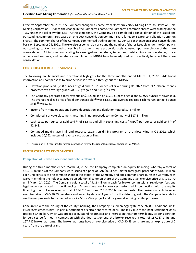Effective September 24, 2021, the Company changed its name from Northern Vertex Mining Corp. to Elevation Gold Mining Corporation. Prior to the change in the Company's name, the Company's common shares were trading on the TSXV under the ticker symbol NEE. At the same time, the Company also completed a consolidation of the issued and outstanding common shares based on one post-consolidation Common Share for every six pre-consolidation Common Shares. The common shares of the Company commenced trading on the TSX Venture Exchange on a post-consolidation basis on September 24, 2021. The exercise or conversion price and the number of shares issuable under the Company's outstanding stock options and convertible instruments were proportionately adjusted upon completion of the share consolidation. All information relating to earnings/loss per share, issued and outstanding common shares, share options and warrants, and per share amounts in this MD&A have been adjusted retrospectively to reflect the share consolidation.

# <span id="page-3-0"></span>**CONSOLIDATED RESULTS SUMMARY**

The following are financial and operational highlights for the three months ended March 31, 2022. Additional information and comparisons to prior periods is provided throughout this MD&A.

- Elevation produced 6,268 ounces of gold and 31,029 ounces of silver during Q1 2022 from 717,898 ore tonnes processed with average grades of 0.35 g/t gold and 3.02 g/t silver
- The Company generated total revenue of \$13.5 million on 6,512 ounces of gold and 52,970 ounces of silver sold. The average realized price of gold per ounce sold  $^{(1)}$  was \$1,881 and average realized cash margin per gold ounce sold  $(1)$  was \$233
- Income from mine operations before depreciation and depletion totaled \$1.5 million
- Completed a private placement, resulting in net proceeds to the Company of \$17.2 million
- Cash costs per ounce of gold sold <sup>(1)</sup> of \$1,648 and all-in sustaining costs ("AISC") per ounce of gold sold <sup>(1)</sup> of \$2,248.
- Continued multi-phase infill and resource expansion drilling program at the Moss Mine in Q1 2022, which includes 10,762 meters of reverse circulation drilling

(1) This is a non-IFRS measure, for further information refer to the *Non-IFRS Measures* section in this MD&A.

# <span id="page-3-1"></span>**RECENT CORPORATE DEVELOPMENTS**

#### **Completion of Private Placement and Debt Settlement**

During the three months ended March 31, 2022, the Company completed an equity financing, whereby a total of 43,301,000 units of the Company were issued at a price of CAD \$0.53 per unit for total gross proceeds of \$18.3 million. Each unit consists of one common share in the capital of the Company and one common share purchase warrant, each warrant entitling the holder to acquire an additional common share of the Company at an exercise price of CAD \$0.70 until March 24, 2027. The Company paid a total of \$1.2 million in cash for broker commissions, regulatory fees and legal expenses related to the financing. As consideration for services performed in connection with the equity financing, the broker received a total of 284,310 units and 2,313,750 broker warrants. The broker warrants have an exercise price of CAD \$0.53 per share and an expiry date of 2 years from the date of grant. The Company intends to use the net proceeds to further advance its Moss Mine project and for general working capital purposes.

Concurrent with the closing of the equity financing, the Company issued an aggregate of 5,592,890 additional units ("Debt Settlement Units") in partial settlement of certain short-term loans. The fair value of the Debt Settlement Units totaled \$2.4 million, which was applied to outstanding principal and interest on the short-term loans. As consideration for services performed in connection with the debt settlement, the broker received a total of 167,787 units and 167,787 broker warrants. The broker warrants have an exercise price of CAD \$0.53 per share and an expiry date of 2 years from the date of grant.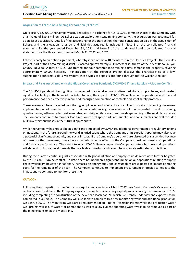# **Acquisition of Eclipse Gold Mining Corporation ("Eclipse")**

On February 12, 2021, the Company acquired Eclipse in exchange for 18,160,021 common shares of the Company with a fair value of \$39.4 million. As Eclipse was an exploration stage mining company, the acquisition was accounted for as an asset acquisition. Details of the accounting for the transaction, the total consideration paid in the acquisition of Eclipse, and the allocation to assets and liabilities acquired is included in Note 5 of the consolidated financial statements for the year ended December 31, 2021 and Note 3 of the condensed interim consolidated financial statements for the three months ended March 31, 2022 and 2021.

Eclipse is party to an option agreement, whereby it can obtain a 100% interest in the Hercules Project. The Hercules Project, part of the Como mining district, is located approximately 40 kilometers southeast of the city of Reno, in Lyon County, Nevada. A total of 1,323 unpatented and four patented lode mining claims comprise the property, covering approximately 10,000 hectares. Mineralization at the Hercules Project displays the characteristics of a lowsulphidation epithermal gold-silver system; these types of deposits are found throughout the Walker Lane Belt.

#### **Impact and Risks Associated with the Global Coronavirus Pandemic ("COVID-19") and Russian – Ukraine Conflict**

The COVID-19 pandemic has significantly impacted the global economy, disrupted global supply chains, and created significant volatility in the financial markets. To date, the impact of COVID-19 on Elevation's operational and financial performance has been effectively minimized through a combination of controls and strict safety protocols.

These measures have included monitoring employees and contractors for illness, physical distancing measures, implementation of remote work and video conferencing, cancellation of non-essential travel, screening questionnaires, adherence to mask mandates, and daily sanitation and routine deep cleaning of the workplace spaces. The Company continues to monitor lead times on critical spare parts and supplies and consumables and will consider bulk inventory purchases in the future if appropriate.

While the Company has not yet been significantly impacted by COVID-19, additional government or regulatory actions or inactions, in the future, around the world in jurisdictions where the Company or its suppliers operate may also have a potential significant, economic, and social impact. If the Company's operations are disrupted or suspended because of these or other measures, it may have a material adverse effect on the Company's business, results of operations and financial performance. The extent to which COVID-19 may impact the Company's future business and operations will depend on future developments that are highly uncertain and cannot be accurately estimated at this time.

During the quarter, continuing risks associated with global inflation and supply chain delivery were further heighted by the Russian – Ukraine conflict. To date, there has not been a significant impact on our operations relating to supply chain availability; however, inflationary increases on energy, fuel, and consumables are expected to impact operating costs for the remainder of the year. The Company continues to implement procurement strategies to mitigate the impact and to continue to monitor these risks.

# <span id="page-4-0"></span>**OUTLOOK**

Following the completion of the Company's equity financing in late March 2022 (see *Recent Corporate Developments* section above for details), the Company expects to complete several key capital projects during the remainder of 2022 including completing the construction of the new heap leach pad 2C, which is currently underway and expected to be completed in Q3 2022. The Company will also look to complete two new monitoring wells and additional production wells in Q2 2022. The monitoring wells are a requirement of an Aquifer Protection Permit, while the production water well project will secure water for operations as well as allow current operating water wells to be removed as part of the mine expansion at the Moss Mine.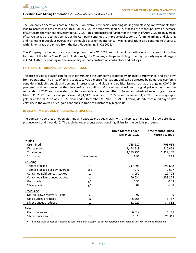The Company's operations continue to focus on overall efficiencies including drilling and blasting improvements that lead to increases in ore processing rates. For Q1 2022, the mine averaged 7,977 stacked ore tonnes per day, an increase of 5.6% from the year ended December 31, 2021. This rate increased further for the month of April 2022 to an average of 8,770 stacked ore tonnes per day as the Company continues to improve quality control for mine drilling and blasting and maintains meticulous oversight on scheduled crusher maintenance. Mining operations also continue to progress, with higher-grade ore mined from the East Pit beginning in Q2 2022.

The Company continues its exploration program into Q2 2022 and will explore both along strike and within the footprint of the Moss Mine Project. Additionally, the Company anticipates drilling other high priority regional targets in Q2/Q3 2022, depending on the availability of road construction contractors and drill rigs.

# <span id="page-5-0"></span>**EXTERNAL PERFORMANCE DRIVER AND TRENDS**

The price of gold is a significant factor in determining the Company's profitability, financial performance, and cash flow from operations. The price of gold is subject to volatile price fluctuations and can be affected by numerous economic conditions including supply and demand, interest rates, and global and political issues, such as the ongoing COVID-19 pandemic and most recently the Ukraine-Russia conflict. Management considers the gold price outlook for the remainder of 2022 and longer-term to be favourable and is committed to being an unhedged seller of gold. As of March 31, 2022, the price of gold closed at \$1,942 per ounce, up 7.5% from December 31, 2021. The average spot gold price for Q1 2022 was \$1,877 (year ended December 31, 2021: \$1,799). Overall, despite continued day-to-day volatility in the overall price, gold continues to trade at a historically high value.

# <span id="page-5-1"></span>**REVIEW OF MINING AND PROCESSING OPERATIONS**

The Company operates an open pit mine and extracts precious metals with a heap leach and Merrill Crowe circuit to produce gold and silver doré. The table below presents operational highlights for the periods presented.

|                                  |           | <b>Three Months Ended</b> | <b>Three Months Ended</b> |
|----------------------------------|-----------|---------------------------|---------------------------|
|                                  |           | March 31, 2022            | March 31, 2021            |
| <b>Mining</b>                    |           |                           |                           |
| Ore mined                        | t         | 735,217                   | 705,654                   |
| Waste mined                      | t         | 1,448,519                 | 1,516,453                 |
| <b>Total mined</b>               |           | 2,183,736                 | 2,222,107                 |
| Strip ratio                      | waste/ore | 1.97                      | 2.15                      |
| <b>Crushing</b>                  |           |                           |                           |
| Tonnes stacked                   | t         | 717,898                   | 692,688                   |
| Tonnes stacked per day (average) | tpd       | 7,977                     | 7,697                     |
| Contained gold ounces stacked    | <b>OZ</b> | 8,050                     | 10,704                    |
| Contained silver ounces stacked  | <b>OZ</b> | 69,634                    | 153,275                   |
| Gold grade                       | g/t       | 0.35                      | 0.48                      |
| Silver grade                     | g/t       | 3.02                      | 6.88                      |
| <b>Processing</b>                |           |                           |                           |
| Merrill Crowe recovery - gold    | %         | 97                        | 99                        |
| Gold ounces produced             | <b>OZ</b> | 6,268                     | 8,787                     |
| Silver ounces produced           | OZ.       | 31,029                    | 84,382                    |
| <b>Sales</b>                     |           |                           |                           |
| Gold ounces sold                 | <b>OZ</b> | 6,512                     | 8,121                     |
| Silver ounces sold (1)           | <b>OZ</b> | 52,970                    | 71,931                    |

(1) Includes silver ounces purchased and sold to the final customer to deliver deferred ounces relating to silver streaming agreement.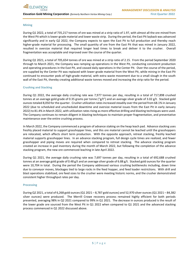#### **Mining**

During Q1 2022, a total of 735,217 tonnes of ore was mined at a strip ratio of 1.97, with almost all the ore mined from the West Pit which is lower-grade material and lower waste strip. During the period, the East Pit layback was advanced significantly and in early Q2 2022, the Company expects to open the East Pit to full production and thereby reach higher-grade material for processing. The small quantity of ore from the East Pit that was mined in January 2022, resulted in oversize material that required longer lead times to break and deliver it to the crusher. Overall fragmentation was acceptable and improved over the course of the quarter.

During Q1 2021, a total of 705,654 tonnes of ore was mined at a strip ratio of 2.15. From the period September 2020 through to March 2021, the Company was ramping up operations in the West Pit, conducting consistent production and operating procedures in the East Pit, and ceased daily operations in the Center Pit. Over the course of the period, ore supplied by the Center Pit was replaced with lower-grade material from the West Pit, while mining in the East Pit continued to encounter pods of high-grade material, with extra waste movement due to a small slough in the south wall of the East Pit, thereby creating additional waste tonnes moved and increasing the strip ratio for the period.

# **Crushing and Stacking**

During Q1 2022, the average daily crushing rate was 7,977 tonnes per day, resulting in a total of 717,898 crushed tonnes at an average gold grade of 0.35 grams per tonne ("g/t") and an average silver grade of 3.02 g/t. Stacked gold ounces totaled 8,050 for the quarter. Crusher utilization rates increased steadily over the period from 68.1% in January 2022 (due to scheduled and unscheduled downtime and oversize material issues from the East Pit in early January 2022) to 81.4% in March 2022, with utilization rates rising as more effective drilling and blasting techniques were used. The Company continues to remain diligent in blasting techniques to maintain proper fragmentation, and preventative maintenance over the entire crushing process.

In March 2022, the Company commenced a program of advance staking on the heap leach pad. Advance stacking uses freshly placed material to support grasshopper lines, and this ore material cannot be leached until the grasshoppers are relocated, which affects short term production. With the opposite approach, retreat stacking, freshly leached material supports grasshopper lines. In an advance stacking program, full design cycle times are realized, and fewer grasshopper and piping moves are required when compared to retreat stacking. The advance stacking program created an increase in pad inventory during the month of March 2022, but following the completion of the advance stacking program, the new ore commenced leaching in late April 2022.

During Q1 2021, the average daily crushing rate was 7,697 tonnes per day, resulting in a total of 692,688 crushed tonnes at an average gold grade of 0.48 g/t and an average silver grade of 6.88 g/t. Stacked gold ounces for the quarter were 10,704 in total. During the period the Company addressed various crushing bottlenecks including, down time due to conveyor moves, blockages tied to large rocks in the feed hopper, and feed loader restrictions. With drill and blast operations stabilized, ore feed sizes to the crusher were meeting historic norms, and the crusher demonstrated consistent higher throughput rates per day.

#### **Processing**

During Q2 2021, a total of 6,268 gold ounces(Q1 2021 – 8,787 gold ounces) and 52,970 silver ounces (Q1 2021 – 84,382 silver ounces) were produced. The Merrill Crowe recovery process remained highly efficient for both periods presented, averaging 98% in Q2 2021 compared to 99% in Q1 2021. The decrease in ounces produced is the result of the lower grade ore sourced from the West Pit in Q1 2022 when compared to Q1 2021 and the advanced stacking process commenced in Q1 2022 discussed above.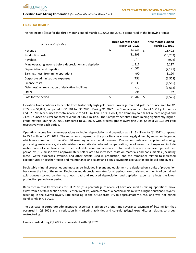# **Elevation Gold Mining Corporation** *(formerly Northern Vertex Mining Corp.)* First Quarter 2022

# <span id="page-7-0"></span>**FINANCIAL RESULTS**

The net income (loss) for the three months ended March 31, 2022 and 2021 is comprised of the following items:

| (in thousands of dollars)                               | <b>Three Months Ended</b><br>March 31, 2022 |   | <b>Three Months Ended</b><br>March 31, 2021 |
|---------------------------------------------------------|---------------------------------------------|---|---------------------------------------------|
| Revenue                                                 | \$<br>13,535                                | Ś | 16,402                                      |
| <b>Production costs</b>                                 | (11, 399)                                   |   | (10, 203)                                   |
| Royalties                                               | (619)                                       |   | (902)                                       |
| Mine operating income before depreciation and depletion | 1,517                                       |   | 5,297                                       |
| Depreciation and depletion                              | (1,607)                                     |   | (2, 177)                                    |
| Earnings (loss) from mine operations                    | (90)                                        |   | 3,120                                       |
| Corporate administrative expenses                       | (751)                                       |   | (1, 573)                                    |
| Finance costs                                           | (1,539)                                     |   | (1, 566)                                    |
| Gain (loss) on revaluation of derivative liabilities    | 770                                         |   | (1,638)                                     |
| Other                                                   | (97)                                        |   | 82                                          |
| Loss for the period                                     | \$<br>(1,707)                               |   | (1, 575)                                    |

Elevation Gold continues to benefit from historically high gold prices. Average realized gold per ounce sold for Q1 2022 was \$1,881, compared to \$1,801 for Q1 2021. During Q1 2022, the Company sold a total of 6,512 gold ounces and 52,970 silver ounces for total revenue of \$13.5 million. For Q1 2021, the Company sold 8,121 ounces of gold and 71,931 ounces of silver for total revenue of \$16.4 million. The Company benefited from mining significantly highergrade material during Q1 2021 compared to Q1 2022, with process grades averaging 0.48 g/t gold vs 0.35 g/t gold respectively for each period.

Operating income from mine operations excluding depreciation and depletion was \$1.5 million for Q1 2022 compared to \$5.3 million for Q1 2021. The reduction compared to the prior fiscal year was largely driven by reduction in grade, which was mined out of the West Pit resulting in less overall revenue. Production costs are comprised of mining, processing, maintenance, site administration and site share-based compensation, net of inventory changes and include write-downs of inventories due to net realizable value impairments. Total production costs increased period over period by \$1.2 million with approximately half related to increased costs on materials and consumables (including diesel, water purchases, cyanide, and other agents used in production) and the remainder related to increased expenditures on crusher repair and maintenance and salary and bonus payments accruals for site based employees.

Depletable mineral properties and most assets included in plant and equipment are depleted on a units of production basis over the life of the mine. Depletion and depreciation rates for all periods are consistent with units of contained gold ounces stacked on the heap leach pad and reduced depreciation and depletion expense reflects the lower production period over period.

Decreases in royalty expenses for Q1 2022 (as a percentage of revenue) have occurred as mining operations move away from a certain section of the Center/West Pit, which contains a particular claim with a higher burdened royalty, resulting in the overall royalty rate reducing in the future from 6% to approximately 4.75% and was not mined significantly in Q1 2022.

The decrease in corporate administrative expenses is driven by a one-time severance payment of \$0.9 million that occurred in Q1 2021 and a reduction in marketing activities and consulting/legal expenditures relating to group restructuring.

Finance costs during Q1 2022 are consistent with Q1 2021.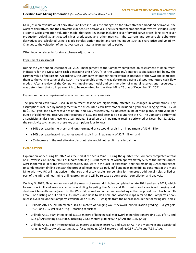Gain (loss) on revaluation of derivative liabilities includes the changes to the silver stream embedded derivative, the warrant derivatives, and the convertible debenture derivatives. The silver stream embedded derivative is valued using a Monte Carlo simulation valuation model that uses key inputs including silver forward curve prices, long-term silver production volatility, anticipated silver production, and other metrics. The warrant and convertible debenture derivatives are calculated using a Black-Scholes option model and use key inputs such as share price and volatility. Changes to the valuation of derivatives can be material from period to period.

Other income relates to foreign exchange adjustments.

#### Impairment assessment

During the year ended December 31, 2021, management of the Company completed an assessment of impairment indicators for the Moss Mine cash generating unit ("CGU"), as the Company's market capitalization fell below the carrying value of net assets. Accordingly, the Company estimated the recoverable amounts of the CGU and compared them to the varying value of the CGU. The recoverable amount was determined using a discounted future cash-flow model. After a review of the Company's impairment model and consideration of mineral reserves and resources, it was determined that no impairment is to be recognized for the Moss Mine CGU as of December 31, 2021.

#### Key assumptions in impairment assessment and sensitivity analysis

The projected cash flows used in impairment testing are significantly affected by changes in assumptions. Key assumptions included by management in the discounted cash-flow model included a gold price ranging from \$1,750 to \$1,850, gold and silver recoveries of 80% and 43%, respectively, as indicated in life of mine plans, in-situ value per ounce of gold mineral reserves and resources of \$75, and real after-tax discount rate of 5%. The Company performed a sensitivity analysis on these key assumptions. Based on the impairment testing performed at December 31, 2021, the sensitivity to changes in these key assumptions is as follows:

- a 10% decrease in the short- and long-term gold price would result in an impairment of \$1.6 million,
- a 10% decrease in gold recoveries would result in an impairment of \$2.7 million, and
- a 5% increase in the real after-tax discount rate would not result in any impairment.

# <span id="page-8-0"></span>**EXPLORATION**

Exploration work during Q1 2022 was focused at the Moss Mine. During the quarter, the Company completed a total of 41 reverse circulation ("RC") drill holes totalling 10,048 meters, of which approximately 50% of the meters drilled were in the West Pit or the West Pit extension, 18% were in the East Pit extension, and the remaining 32% were related to condemnation drilling beneath the proposed heap leach 3B pad. Infill and near-mine drilling continues at the Moss Mine with two RC drill rigs active in the area and assay results are pending for numerous additional holes drilled as part of the infill and near-mine drilling program and will be released upon receipt, compilation and analysis.

On May 3, 2022, Elevation announced the results of several drill holes completed in late 2021 and early 2022, which focused on infill and resource expansion drilling targeting the Moss and Ruth Veins and associated hanging wall stockwork beneath and adjacent to the West Pit, as well as condemnation drilling in the proposed heap leach pad 3B area. For a listing of full drill results, notes, and links to drill hole and location maps refer to the Company's news release available on the Company's website or on SEDAR. Highlights from the release include the following drill holes:

- Drillhole AR21-562R intersected 344.42 meters of hanging wall stockwork mineralization grading 0.31 g/t gold ("Au") and 1.12 g/t silver ("Ag"), starting at surface
- Drillhole AR21-560R intersected 137.16 meters of hanging wall stockwork mineralization grading 0.30 g/t Au and 1.92 g/t Ag starting at surface, including 22.86 meters grading 0.47 g/t Au and 1.35 g/t Ag
- Drillhole AR21-545R intersected 88.39 meters grading 0.40 g/t Au and 4.29 g/t Ag in the Moss Vein and associated hanging wall stockwork starting at surface, including 27.43 meters grading 0.67 g/t Au and 7.13 g/t Ag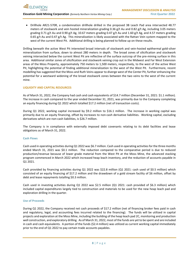• Drillhole AR21-570R, a condemnation drillhole drilled in the proposed 3B Leach Pad area intersected 48.77 meters of stockwork and vein hosted mineralization grading 0.36 g/t Au and 0.82 g/t Ag, including 3.05 meters grading 0.71 g/t Au and 0.90 g/t Ag, 10.67 meters grading 0.47 g/t Au and 1.60 g/t Ag, and 4.57 meters grading 0.65 g/t Au and 0.47 g/t Ag. This mineralization is likely associated with the Rattan Vein system mapped to the west of the current West Pit. Additional drilling is being planned to follow up on these results.

Drilling beneath the active West Pit interested broad intervals of stockwork and vein-hosted epithermal gold-silver mineralization from surface, down to almost 280 meters in depth. The broad zones of silicification and stockwork veining intersected below the current West Pit are reflective of the surface outcrop of the pre-mining surface in this area. Additional similar zones of silicification and stockwork veining crop out in the Midwest and Far West Extension areas of the Moss Property, approximately 750 meters to 1,500 meters, respectively, to the west of the active West Pit, highlighting the potential of finding additional mineralization to the west of the West Pit. Furthermore, recent modelling has suggested that the Moss and Ruth Veins appear to diverge west of the Center Pit, further enhancing the potential for a westward widening of the broad stockwork zones between the two veins to the west of the current mine.

# <span id="page-9-0"></span>**LIQUIDITY AND CAPITAL RESOURCES**

As of March 31, 2022, the Company had cash and cash equivalents of \$14.7 million (December 31, 2021: \$1.1 million). The increase in cash compared to the year ended December 31, 2021, was primarily due to the Company completing an equity financing during Q1 2022 which totalled \$17.2 million (net of transaction costs).

During Q1 2022, working capital increased by \$9.2 million to \$16.1 million. The increase in working capital was primarily due to an equity financing, offset by increases to non-cash derivative liabilities. Working capital, excluding derivatives which are non-cash liabilities, is \$26.7 million.

The Company is in compliance with externally imposed debt covenants relating to its debt facilities and lease obligations as of March 31, 2022.

#### **Cash Flows**

Cash used in operating activities during Q1 2022 was \$6.7 million. Cash used in operating activities for the three months ended March 31, 2021 was \$0.1 million. The reduction compared to the comparative period is due to reduced production/revenue because of lower grade material from the West Pit at the Moss Mine, the advanced stacking program commenced in March 2022 which increased heap leach inventory, and the reduction of accounts payable in Q1 2021.

Cash provided by financing activities during Q1 2022 was \$22.8 million (Q1 2021: cash used of \$0.5 million) which consisted of an equity financing of \$17.2 million and the drawdown of a gold stream facility of \$6 million, offset by debt and lease repayments totalling \$0.3 million.

Cash used in investing activities during Q1 2022 was \$2.5 million (Q1 2021: cash provided of \$6.3 million) which included capital expenditures largely tied to construction and materials to be used for the new heap leach pad and exploration drilling in the quarter.

#### **Use of Proceeds**

During Q1 2022, the Company received net cash proceeds of \$17.2 million (net of financing broker fees paid in cash and regulatory, legal, and accounting fees incurred related to the financing). The funds will be utilized in capital projects and exploration at the Moss Mine, including the building of the heap leach pad 2C, monitoring and production well construction, and exploratory drilling. As of March 31, 2022, most of the funds are yet to be spent and are included in cash and cash equivalents. A portion of the funds (\$2.4 million) was utilized as current working capital immediately prior to the end of Q1 2022 to pay certain trade accounts payables.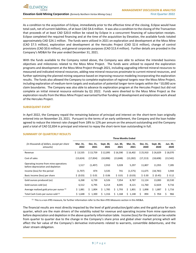As a condition to the acquisition of Eclipse, immediately prior to the effective time of the closing, Eclipse would have total cash, net of current liabilities, of at least CAD \$4.6 million. It was also a condition to the closing of the Transaction that proceeds of at least CAD \$20.0 million be raised by Eclipse in a concurrent financing of subscription receipts. Eclipse completed the required financing and at the time of the acquisition by Elevation, the available funds totaled approximately CAD \$24.1 million. The funds were utilized in 2021 on exploration and development at the Moss Mine (CAD \$7.5 million), exploration and development at the Hercules Project (CAD \$2.6 million), change of control provisions (CAD \$0.6 million), and general corporate purposes (CAD \$13.4 million). Further details are provided in the Company's MD&A for the year ended December 31, 2021.

With the funds available to the Company noted above, the Company was able to achieve the intended business objectives and milestones related to the Moss Mine Project. The funds were utilized to expand the exploration programs and development at the Moss Mine Project through 2021, including upgrading inferred mineral resources to measured and indicated mineral resources, adding new mineral resources proximate to current mineral resources, and further optimizing the planned mining sequence based on improving resource modeling incorporating the exploration results. The funds also allowed the Company to complete exploration of regional targets near the Moss Mine Project, including exploration of medium-term targets and evaluation of potential longer-term targets within the ~10,000 acre claim boundaries. The Company was also able to advance its exploration program at the Hercules Project but did not complete an initial mineral resource estimate by Q1 2022. Funds were diverted to the Moss Mine Project as the exploration results from the Moss Mine Project warranted further funding of development and exploration work ahead of the Hercules Project.

# <span id="page-10-0"></span>**SUBSEQUENT EVENT**

In April 2022, the Company repaid the remaining balance of principal and interest on the short-term loan originally entered into on November 23, 2021. Pursuant to the terms of an early settlement, the Company and the loan holder agreed to reduce the interest rate charged from 18% to 12% per annum on the amount outstanding and the Company paid a total of CAD \$2,834 in principal and interest to repay the short-term loan outstanding in full.

|                                                                            | <b>Three Months Ended</b> |                  |                   |                  |                  |                  |                   |                  |
|----------------------------------------------------------------------------|---------------------------|------------------|-------------------|------------------|------------------|------------------|-------------------|------------------|
| (in thousands of dollars, except per share<br>amounts)                     | Mar. 31,<br>2022          | Dec. 31,<br>2021 | Sept. 30,<br>2021 | Jun. 30,<br>2021 | Mar. 31,<br>2021 | Dec. 31,<br>2020 | Sept. 30,<br>2020 | Jun. 30,<br>2020 |
| Revenue                                                                    | \$13,535                  | \$13,759         | \$12,095          | \$16,590         | \$16,402         | \$25,910         | \$26,829          | \$18,070         |
| Cost of sales                                                              | (13, 624)                 | (17, 834)        | (10, 898)         | (13, 848)        | (13, 282)        | (17, 213)        | (18,608)          | (13, 542)        |
| Operating income from mine operations<br>before depreciation and depletion | 1,517                     | (1, 497)         | 2,910             | 5,028            | 5,297            | 11,807           | 11,955            | 7,285            |
| Income (loss) for the period                                               | (1,707)                   | 874              | 3,535             | 741              | (1, 575)         | 11,675           | (18, 783)         | 3,944            |
| Basic Income (loss) per share                                              | \$ (0.03)                 | \$0.01           | \$0.06            | \$0.01           | \$ (0.03)        | \$0.30           | \$ (0.45)         | \$0.12           |
| Gold ounces produced (oz)                                                  | 6,268                     | 6,739            | 6,526             | 7,054            | 8,787            | 11,124           | 13,083            | 10,530           |
| Gold ounces sold (oz)                                                      | 6,512                     | 6,795            | 6,214             | 8,045            | 8,121            | 11,760           | 12,824            | 9,716            |
| Average realized gold price per ounce (1)                                  | \$1,881                   | \$1,804          | \$1,785           | \$1,793          | 1,801<br>Ś.      | \$.<br>1,898     | \$1,887           | \$1,716          |
| Total Cash Costs per ounce sold (1)                                        | \$1,648                   | \$1,300          | \$1,316           | \$1,168          | \$1,148          | \$<br>894        | \$954             | \$<br>966        |

# <span id="page-10-1"></span>**SUMMARY OF QUARTERLY RESULTS**

(1) This is a non-IFRS measure, for further information refer to the *Non-IFRS Measures* section in this MD&A.

The financial results are most directly impacted by the level of gold production/gold sales and the gold price for each quarter, which are the main drivers of the volatility noted for revenue and operating income from mine operations before depreciation and depletion in the above quarterly information table. Income (loss) for the period can be volatile from quarter to quarter due to the change in the Company's share price and global silver market pricing which will affect the fair value of the Company's derivative instruments related to warrants, convertible debentures, and the silver stream obligation.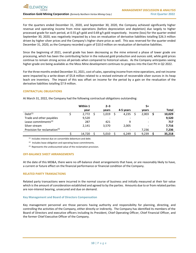For the quarters ended December 31, 2020, and September 30, 2020, the Company achieved significantly higher revenue and operating income from mine operations (before depreciation and depletion) due largely to higher processed grade for each period, at 0.55 g/t gold and 0.69 g/t gold respectively. Income (loss) for the quarter ended September 30, 2020, was negatively impacted by a loss on revaluation of derivative liabilities totalling \$26.3 million driven by higher silver prices and the Company's higher share price as well. This was reversed for the quarter ended December 31, 2020, as the Company recorded a gain of \$10.0 million on revaluation of derivative liabilities.

Since the beginning of 2021, overall grade has been decreasing as the mine entered a phase of lower grade ore processing, which has been the contributing factor in the reduced gold production and ounces sold, while gold prices continue to remain strong across all periods when compared to historical values. As the Company anticipates seeing higher-grade ore being available as the Moss Mine development continues to progress into the East Pit in Q2 2022.

For the three months ended December 31, 2021, cost of sales, operating income from mine operations, and net income were impacted by a write-down of \$5.8 million related to a revised estimate of recoverable silver ounces in its heap leach ore inventory. The impact of this was offset on income for the period by a gain on the revaluation of the derivative liabilities totalling \$7.9 million.

# <span id="page-11-0"></span>**CONTRACTUAL OBLIGATIONS**

|                                          | Within 1                 | $2 - 3$                  |                          | 5+    |        |
|------------------------------------------|--------------------------|--------------------------|--------------------------|-------|--------|
|                                          | year                     | vears                    | 4-5 years                | vears | Total  |
| $Debt^{(1)}$                             | 2,772                    | 1,019                    | 4,235                    | 2,003 | 10,029 |
| Trade and other payables                 | 9,520                    | $\overline{\phantom{a}}$ | $\overline{\phantom{a}}$ | ۰     | 9,520  |
| Lease commitments <sup>(2)</sup>         | 287                      | 421                      | 9                        | -     | 717    |
| Silver stream                            | 2.141                    | 3,570                    | 2,005                    | -     | 7,716  |
| Provision for reclamation <sup>(3)</sup> | $\overline{\phantom{0}}$ | ٠                        | $\overline{\phantom{a}}$ | 7,236 | 7,236  |
|                                          | 14,720                   | 5,010                    | 6,249                    | 9,239 | 35,218 |

At March 31, 2022, the Company had the following contractual obligations outstanding:

 $(1)$  Includes interest due on convertible debenture and debt.

(2) Includes lease obligation and operating lease commitments.

 $(3)$  Represents the undiscounted value of the reclamation provision.

#### <span id="page-11-1"></span>**OFF-BALANCE SHEET ARRANGEMENTS**

At the date of this MD&A, there were no off-balance sheet arrangements that have, or are reasonably likely to have, a current or future effect on the financial performance or financial condition of the Company.

# <span id="page-11-2"></span>**RELATED PARTY TRANSACTIONS**

Related party transactions were incurred in the normal course of business and initially measured at their fair value which is the amount of consideration established and agreed to by the parties. Amounts due to or from related parties are non-interest bearing, unsecured and due on demand.

#### **Key Management and Board of Directors Compensation**

Key management personnel are those persons having authority and responsibility for planning, directing, and controlling the activities of the Company, either directly or indirectly. The Company has identified its members of the Board of Directors and executive officers including its President, Chief Operating Officer, Chief Financial Officer, and the former Chief Executive Officer of the Company.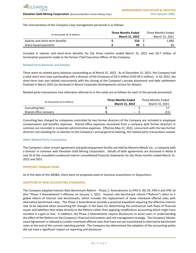**Elevation Gold Mining Corporation** *(formerly Northern Vertex Mining Corp.)* First Quarter 2022

The remuneration of the Company's key management personnel is as follows:

| (in thousands of US dollars)     | <b>Three Months Ended</b><br>March 31, 2022 |     |  | Three Months Ended<br>March 31. 2021 |
|----------------------------------|---------------------------------------------|-----|--|--------------------------------------|
| Salaries and short-term benefits |                                             | 210 |  | 1,060                                |
| Share-based payments             |                                             | 69  |  | 56                                   |

Included in salaries and short-term benefits for the three months ended March 31, 2021 was \$0.7 million of termination payments made to the former Chief Executive Officer of the Company.

#### **Related Party Balances and Activity**

There were no related party balances outstanding as of March 31, 2022. As of December 31, 2021, the Company had a total short term loan outstanding with a director of the Company of \$0.4 million (CAD \$0.5 million). In Q1 2022, the short-term loan was settled concurrently with the closing of the Company's private placement and debt settlement finalized in March 2022 (as disclosed in *Recent Corporate Developments* section for details).

Related party transactions (not otherwise referred to in this note) are as follows for each of the periods presented:

|                              | <b>Three Months Ended</b> | Three Months Ended    |  |                |
|------------------------------|---------------------------|-----------------------|--|----------------|
| (in thousands of US dollars) |                           | <b>March 31, 2022</b> |  | March 31, 2021 |
| Consulting fees              |                           | ۰.                    |  |                |
| Shared office recovery       |                           | $\blacksquare$        |  | (11)           |

Consulting fees charged by companies controlled by two former directors of the Company are included in employee compensation and benefits expenses. Shared office expenses recovered from a company with former directors in common are recorded in corporate administrative expenses. Effective May 21, 2021, concurrent with the two former directors not standing for re-election to the Company's annual general meeting, the related party transactions ceased.

#### **Other Related Party Transactions**

The Company's silver stream agreement and gold prepayment facility are held by Maverix Metals Inc., a company with a director in common with Elevation Gold Mining Corporation. Details of both agreements are disclosed in Notes 8 and 10 of the unaudited condensed interim consolidated financial statements for the three months ended March 31, 2022 and 2021.

#### <span id="page-12-0"></span>**PROPOSED TRANSACTIONS**

As of the date of this MD&A, there were no proposed asset or business acquisitions or dispositions*.* 

#### <span id="page-12-1"></span>**ADOPTION OF NEW ACCOUNTING STANDARDS**

The Company adopted Interest Rate Benchmark Reform - Phase 2: Amendments to IFRS 9, IAS 39, IFRS 4 and IFRS 16 (the "Phase 2 Amendments") effective on January 1, 2021. Interest rate benchmark reform ("Reform") refers to a global reform of interest rate benchmarks, which includes the replacement of some interbank offered rates with alternative benchmark rates. The Phase 2 Amendments provide a practical expedient requiring the effective interest rate to be adjusted when accounting for changes in the basis for determining the contractual cash flows of financial assets and liabilities that relate directly to the Reform rather than applying modification accounting which might have resulted in a gain or loss. In addition, the Phase 2 Amendments require disclosures to assist users in understanding the effect of the Reform on the Company's financial instruments and risk management strategy. The Company' Master Lease Agreement is indexed to London interbank offered rates that have not yet transitioned to alternative benchmark rates at the end of the current reporting period. The Company has determined the adoption of the accounting policy did not have a significant impact on reporting and disclosure.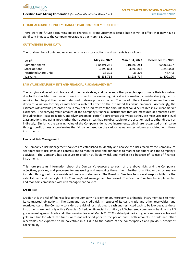#### <span id="page-13-0"></span>**FUTURE ACCOUNTING POLICY CHANGES ISSUED BUT NOT YET IN EFFECT**

There were no future accounting policy changes or pronouncements issued but not yet in effect that may have a significant impact to the Company operations as at March 31, 2022.

#### <span id="page-13-1"></span>**OUTSTANDING SHARE DATA**

The total number of outstanding common shares, stock options, and warrants is as follows:

| As of:                        | May 26, 2022 | <b>March 31, 2022</b> | December 31, 2021 |
|-------------------------------|--------------|-----------------------|-------------------|
| Common shares                 | 110,391,281  | 110,391,281           | 60,863,627        |
| Stock options                 | 3,493,863    | 3,493,863             | 3,848,028         |
| <b>Restricted Share Units</b> | 33.305       | 33.305                | 48.443            |
| Warrants                      | 63,236,714   | 63,236,714            | 11,409,190        |

#### <span id="page-13-2"></span>**FAIR VALUE MEASUREMENTS AND FINANCIAL RISK MANAGEMENT**

The carrying values of cash, trade and other receivables, and trade and other payables approximate their fair values due to the short-term nature of these instruments. In evaluating fair value information, considerable judgment is required to interpret the market data used to develop the estimates. The use of different market assumptions and different valuation techniques may have a material effect on the estimated fair value amounts. Accordingly, the estimates of fair value presented herein may not be indicative of the amounts that could be realized in a current market exchange. The carrying value amount of the Company's financial instruments that are measured at amortized cost (including debt, lease obligation, and silver stream obligation) approximates fair value as they are measured using level 2 assumptions and using inputs other than quoted prices that are observable for the asset or liability either directly or indirectly. Similarly, the carrying value of the Company's derivative instruments, which are recognized at fair value through profit or loss approximates the fair value based on the various valuation techniques associated with those instruments.

#### **Financial Risk Management**

The Company's risk management policies are established to identify and analyse the risks faced by the Company, to set appropriate risk limits and controls and to monitor risks and adherence to market conditions and the Company's activities. The Company has exposure to credit risk, liquidity risk and market risk because of its use of financial instruments.

This note presents information about the Company's exposure to each of the above risks and the Company's objectives, policies, and processes for measuring and managing these risks. Further quantitative disclosures are included throughout the consolidated financial statements. The Board of Directors has overall responsibility for the establishment and oversight of the Company's risk management framework. The Board of Directors has implemented and monitors compliance with risk management policies.

#### **Credit Risk**

Credit risk is the risk of financial loss to the Company if a client or counterparty to a financial instrument fails to meet its contractual obligations. The Company has credit risk in respect of its cash, trade and other receivables, and restricted cash. The Company considers the risk of loss relating to cash and restricted cash to be low because these instruments are held only with a Canadian Schedule I financial institution, a US-chartered commercial bank, and a US government agency. Trade and other receivables as of March 31, 2022 related primarily to goods and services tax and gold sold but for which the funds were not collected prior to the period end. Both amounts in trade and other receivables are expected to be collectible in full due to the nature of the counterparties and previous history of collectability.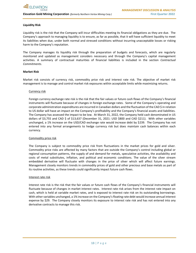

#### **Liquidity Risk**

Liquidity risk is the risk that the Company will incur difficulties meeting its financial obligations as they are due. The Company's approach to managing liquidity is to ensure, as far as possible, that it will have sufficient liquidity to meet its liabilities when due, under both normal and stressed conditions without incurring unacceptable losses or risking harm to the Company's reputation.

The Company manages its liquidity risk through the preparation of budgets and forecasts, which are regularly monitored and updated as management considers necessary and through the Company's capital management activities. A summary of contractual maturities of financial liabilities is included in the section *Contractual Commitments*.

#### **Market Risk**

Market risk consists of currency risk, commodity price risk and interest rate risk. The objective of market risk management is to manage and control market risk exposures within acceptable limits while maximizing returns.

#### Currency risk

Foreign currency exchange rate risk is the risk that the fair values or future cash flows of the Company's financial instruments will fluctuate because of changes in foreign exchange rates. Some of the Company's operating and corporate administration expenditures are incurred in Canadian dollars and the fluctuation of the CAD \$ in relation to US dollar will have an impact on the Company's profitability and the Company's financial assets and liabilities. The Company has assessed the impact to be low. At March 31, 2022, the Company held cash denominated in US dollars of \$3,755 and CAD \$ of \$13,637 (December 31, 2021: USD \$800 and CAD \$211). With other variables unchanged, a 1% increase on the USD/CAD exchange rate would increase debt by \$239. The Company has not entered into any formal arrangements to hedge currency risk but does maintain cash balances within each currency.

#### Commodity price risk

The Company is subject to commodity price risk from fluctuations in the market prices for gold and silver. Commodity price risks are affected by many factors that are outside the Company's control including global or regional consumption patterns, the supply of and demand for metals, speculative activities, the availability and costs of metal substitutes, inflation, and political and economic conditions. The value of the silver stream embedded derivative will fluctuate with changes in the price of silver which will affect future earnings. Management closely monitors trends in commodity prices of gold and other precious and base metals as part of its routine activities, as these trends could significantly impact future cash flows.

#### Interest rate risk

Interest rate risk is the risk that the fair values or future cash flows of the Company's financial instruments will fluctuate because of changes in market interest rates. Interest rate risk arises from the interest rate impact on cash, which is held at variable market rates, and is exposed to interest rate risk on its outstanding borrowings. With other variables unchanged, a 1% increase on the Company's floating rate debt would increase annual interest expense by \$29. The Company closely monitors its exposure to interest rate risk and has not entered into any derivative contracts to manage this risk.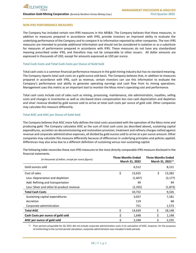#### <span id="page-15-0"></span>**NON-IFRS PERFORMANCE MEASURES**

The Company has included certain non-IFRS measures in this MD&A. The Company believes that these measures, in addition to measures prepared in accordance with IFRS, provide investors an improved ability to evaluate the underlying performance of the Company and to compare it to information reported by other companies. The non-IFRS measures are intended to provide additional information and should not be considered in isolation or as a substitute for measures of performance prepared in accordance with IFRS. These measures do not have any standardized meaning prescribed under IFRS, and therefore may not be comparable to other issuers. All dollar amounts are expressed in thousands of USD, except for amounts expressed as USD per ounce.

#### **Total Cash Costs and Total Cash Costs per Ounce of Gold Sold**

Total cash costs is a common financial performance measure in the gold mining industry but has no standard meaning. The Company reports total cash costs on a gold ounce sold basis. The Company believes that, in addition to measures prepared in accordance with IFRS, such as revenue, certain investors can use this information to evaluate the Company's performance and ability to generate operating earnings and cash flow from its mining operations. Management uses this metric as an important tool to monitor the Moss mine's operating cost and performance.

Total cash costs include cost of sales such as mining, processing, maintenance, site administration, royalties, selling costs and changes in inventories as well as site-based share compensation less non-cash depreciation and depletion and silver revenue divided by gold ounces sold to arrive at total cash costs per ounce of gold sold. Other companies may calculate this measure differently.

#### **Total AISC and AISC per Ounce of Gold Sold**

The Company believes that AISC more fully defines the total costs associated with the operation of the Moss mine and producing gold. The Company calculates AISC as the sum of total cash costs (as described above), sustaining capital expenditures, accretion on decommissioning and restoration provision, treatment and refinery charges netted against revenue and corporate administrative expenses, all divided by gold ounces sold to arrive at a per ounce amount. Other companies may calculate this measure differently because of differences in underlying principles and policies applied. Differences may also arise due to a different definition of sustaining versus non-sustaining capital.

The following table reconciles these non-IFRS measures to the most directly comparable IFRS measure disclosed in the financial statements.

| (in thousands of dollars, except per ounce figures) | <b>Three Months Ended</b><br><b>Three Months Ended</b><br>March 31, 2021 <sup>(1)</sup><br>March 31, 2022 |     |          |
|-----------------------------------------------------|-----------------------------------------------------------------------------------------------------------|-----|----------|
| Gold ounces sold                                    | 6,512                                                                                                     |     | 8,121    |
| Cost of sales                                       | \$<br>13,625                                                                                              | \$  | 13,282   |
| Less: Depreciation and depletion                    | (1,607)                                                                                                   |     | (2, 177) |
| Add: Refining and transportation                    | 49                                                                                                        |     | 94       |
| Less: Silver and other bi-product revenue           | (1, 335)                                                                                                  |     | (1,873)  |
| <b>Total Cash Costs</b>                             | 10,732                                                                                                    |     | 9,326    |
| Sustaining capital expenditures                     | 3,037                                                                                                     |     | 7,181    |
| Accretion                                           | 119                                                                                                       |     | 68       |
| Corporate administration                            | 751                                                                                                       |     | 1,573    |
| <b>Total AISC</b>                                   | 14,639                                                                                                    | \$. | 18,148   |
| Cash Costs per ounce of gold sold                   | 1,648                                                                                                     | \$  | 1,148    |
| AISC per ounce of gold sold                         | \$<br>2,248                                                                                               | \$  | 2,235    |

<sup>(1)</sup> Prior period comparable for Q1 2021 did not include corporate administration costs in its calculation of AISC, however, for the purposes of conforming to the current period calculation, corporate administration was included in both periods.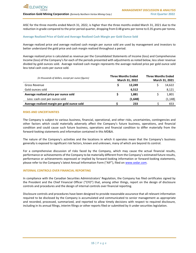AISC for the three months ended March 31, 2022, is higher than the three months ended March 31, 2021 due to the reduction in grade compared to the prior period quarter, dropping from 0.48 grams per tonne to 0.35 grams per tonne.

#### **Average Realized Price of Gold and Average Realized Cash Margin per Gold Ounce Sold**

Average realized price and average realized cash margin per ounce sold are used by management and investors to better understand the gold price and cash margin realized throughout a period.

Average realized price is calculated as revenue per the Consolidated Statements of Income (loss) and Comprehensive Income (loss) of the Company's for each of the periods presented with adjustments as noted below, less silver revenue divided by gold ounces sold. Average realized cash margin represents the average realized price per gold ounce sold less total cash costs per ounce sold.

| (in thousands of dollars, except per ounce figures) | <b>Three Months Ended</b><br>March 31, 2022 |         | <b>Three Months Ended</b><br>March 31, 2021 |          |  |
|-----------------------------------------------------|---------------------------------------------|---------|---------------------------------------------|----------|--|
| <b>Gross Revenue</b>                                | S                                           | 12.249  |                                             | 14,622   |  |
| Gold ounces sold                                    |                                             | 6,512   |                                             | 8,121    |  |
| Average realized price per ounce sold               |                                             | 1,881   |                                             | 1,801    |  |
| Less: cash cost per ounce sold                      |                                             | (1,648) |                                             | (1, 148) |  |
| Average realized margin per gold ounce sold         |                                             | 233     |                                             | 653      |  |

#### <span id="page-16-0"></span>**RISKS AND UNCERTAINTIES**

The Company is subject to various business, financial, operational, and other risks, uncertainties, contingencies and other factors which could materially adversely affect the Company's future business, operations, and financial condition and could cause such future business, operations and financial condition to differ materially from the forward-looking statements and information contained in this MD&A.

The nature of the Company's activities and the locations in which it operates mean that the Company's business generally is exposed to significant risk factors, known and unknown, many of which are beyond its control.

For a comprehensive discussion of risks faced by the Company, which may cause the actual financial results, performance or achievements of the Company to be materially different from the Company's estimated future results, performance or achievements expressed or implied by forward-looking information or forward-looking statements, please refer to the Company's latest Annual Information Form ("AIF"), filed on [www.sedar.com.](http://www.sedar.com/)

#### <span id="page-16-1"></span>**INTERNAL CONTROLS OVER FINANCIAL REPORTING**

In compliance with the Canadian Securities Administrators' Regulation, the Company has filed certificates signed by the President and the Chief Financial Officer ("CFO") that, among other things, report on the design of disclosure controls and procedures and the design of internal controls over financial reporting.

Disclosure controls and procedures have been designed to provide reasonable assurance that all relevant information required to be disclosed by the Company is accumulated and communicated to senior management as appropriate and recorded, processed, summarized, and reported to allow timely decisions with respect to required disclosure, including in its annual filings, interim filings or other reports filed or submitted by it under securities legislation.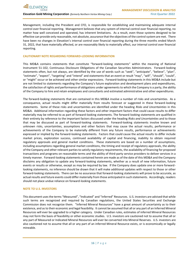Management, including the President and CFO, is responsible for establishing and maintaining adequate internal control over financial reporting. Management believes that any system of internal control over financial reporting, no matter how well conceived and operated, has inherent limitations. As a result, even those systems designed to be effective can provide only reasonable, not absolute, assurance that the objectives of the control system are met. There have been no changes in Elevation's internal control over financial reporting during the three months ended March 31, 2022, that have materially affected, or are reasonably likely to materially affect, our internal control over financial reporting.

# <span id="page-17-0"></span>**CAUTIONARY NOTE REGARDING FORWARD-LOOKING INFORMATION**

This MD&A contains statements that constitute "forward-looking statements" within the meaning of National Instrument 51-102, Continuous Disclosure Obligations of the Canadian Securities Administrators. Forward-looking statements often, but not always, are identified by the use of words such as "seek", "anticipate", "believe", "plan", "estimate", "expect", "targeting" and "intend" and statements that an event or result "may", "will", "should", "could", or "might" occur or be achieved and other similar expressions. Forward-looking statements in this MD&A include but are not limited to statements regarding the Company's future exploration and development plans and expenditures, the satisfaction of rights and performance of obligations under agreements to which the Company is a party, the ability of the Company to hire and retain employees and consultants and estimated administrative and other expenditures.

The forward-looking statements that are contained in this MD&A involve a number of risks and uncertainties. As a consequence, actual results might differ materially from results forecast or suggested in these forward-looking statements. Some of these risks and uncertainties are identified under the heading *Risks and Uncertainties* in this MD&A. Additional information regarding these factors and other important factors that could cause results to differ materially may be referred to as part of forward-looking statements. The forward-looking statements are qualified in their entirety by reference to the important factors discussed under the heading *Risks and Uncertainties* and to those that may be discussed as part of forward-looking statements. Forward-looking statements involve known and unknown risks, uncertainties, assumptions and other factors that may cause the actual results, performance or achievements of the Company to be materially different from any future results, performance or achievements expressed or implied by the forward-looking statements. Factors that could cause the actual results to differ include market prices, exploration success, continued availability of capital and financing, inability to obtain required regulatory approvals and general market conditions. These statements are based on a number of assumptions, including assumptions regarding general market conditions, the timing and receipt of regulatory approvals, the ability of the Company and other relevant parties to satisfy regulatory requirements, the availability of financing for proposed transactions and programs on reasonable terms and the ability of third-party service providers to deliver services in a timely manner. Forward-looking statements contained herein are made as of the date of this MD&A and the Company disclaims any obligation to update any forward-looking statements, whether as a result of new information, future events or results or otherwise, except as may be required by law. If the Company does update one or more forwardlooking statements, no inference should be drawn that it will make additional updates with respect to those or other forward-looking statements. There can be no assurance that forward-looking statements will prove to be accurate, as actual results and future events could differ materially from those anticipated in such statements. Accordingly, readers should not place undue reliance on forward-looking statements.

#### <span id="page-17-1"></span>**NOTE TO U.S. INVESTORS**

This document uses the terms "Measured", "Indicated" and "Inferred" Resources. U.S. investors are advised that while such terms are recognized and required by Canadian regulations, the United States Securities and Exchange Commission does not recognize them. "Inferred Mineral Resources" have a great amount of uncertainty as to their existence, and as to their economic and legal feasibility. It cannot be assumed that all or any part of an Inferred Mineral Resources will ever be upgraded to a higher category. Under Canadian rules, estimates of inferred Mineral Resources may not form the basis of feasibility or other economic studies. U.S. investors are cautioned not to assume that all or any part of Measured or Indicated Mineral Resources will ever be converted into Mineral Reserves. U.S. investors are also cautioned not to assume that all or any part of an inferred Mineral Resource exists, or is economically or legally mineable.